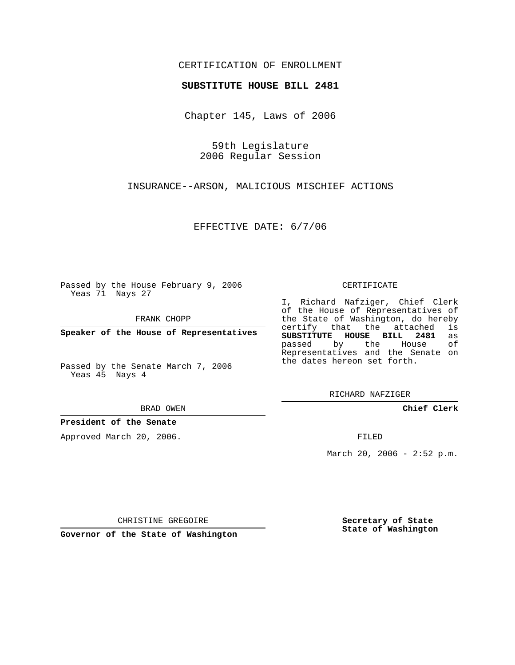## CERTIFICATION OF ENROLLMENT

## **SUBSTITUTE HOUSE BILL 2481**

Chapter 145, Laws of 2006

59th Legislature 2006 Regular Session

INSURANCE--ARSON, MALICIOUS MISCHIEF ACTIONS

EFFECTIVE DATE: 6/7/06

Passed by the House February 9, 2006 Yeas 71 Nays 27

FRANK CHOPP

**Speaker of the House of Representatives**

Passed by the Senate March 7, 2006 Yeas 45 Nays 4

BRAD OWEN

**President of the Senate**

Approved March 20, 2006.

CERTIFICATE

I, Richard Nafziger, Chief Clerk of the House of Representatives of the State of Washington, do hereby<br>certify that the attached is certify that the attached **SUBSTITUTE HOUSE BILL 2481** as passed by the Representatives and the Senate on the dates hereon set forth.

RICHARD NAFZIGER

**Chief Clerk**

FILED

March 20, 2006 -  $2:52$  p.m.

CHRISTINE GREGOIRE

**Governor of the State of Washington**

**Secretary of State State of Washington**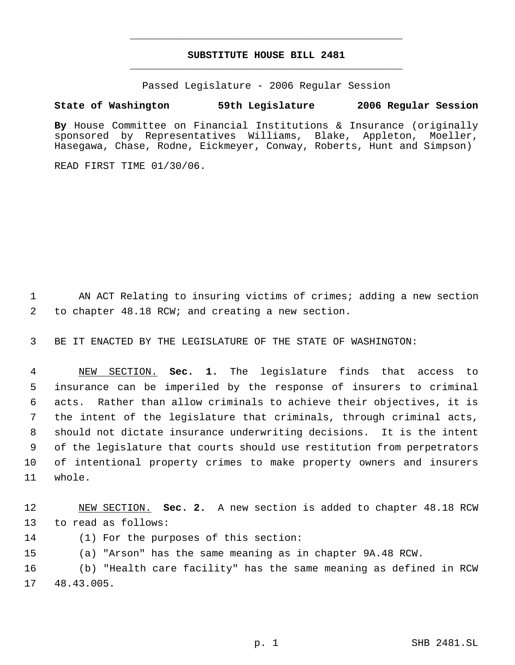## **SUBSTITUTE HOUSE BILL 2481** \_\_\_\_\_\_\_\_\_\_\_\_\_\_\_\_\_\_\_\_\_\_\_\_\_\_\_\_\_\_\_\_\_\_\_\_\_\_\_\_\_\_\_\_\_

\_\_\_\_\_\_\_\_\_\_\_\_\_\_\_\_\_\_\_\_\_\_\_\_\_\_\_\_\_\_\_\_\_\_\_\_\_\_\_\_\_\_\_\_\_

Passed Legislature - 2006 Regular Session

## **State of Washington 59th Legislature 2006 Regular Session**

**By** House Committee on Financial Institutions & Insurance (originally sponsored by Representatives Williams, Blake, Appleton, Moeller, Hasegawa, Chase, Rodne, Eickmeyer, Conway, Roberts, Hunt and Simpson)

READ FIRST TIME 01/30/06.

1 AN ACT Relating to insuring victims of crimes; adding a new section 2 to chapter 48.18 RCW; and creating a new section.

3 BE IT ENACTED BY THE LEGISLATURE OF THE STATE OF WASHINGTON:

 NEW SECTION. **Sec. 1.** The legislature finds that access to insurance can be imperiled by the response of insurers to criminal acts. Rather than allow criminals to achieve their objectives, it is the intent of the legislature that criminals, through criminal acts, should not dictate insurance underwriting decisions. It is the intent of the legislature that courts should use restitution from perpetrators of intentional property crimes to make property owners and insurers 11 whole.

12 NEW SECTION. **Sec. 2.** A new section is added to chapter 48.18 RCW 13 to read as follows:

14 (1) For the purposes of this section:

15 (a) "Arson" has the same meaning as in chapter 9A.48 RCW.

16 (b) "Health care facility" has the same meaning as defined in RCW 17 48.43.005.